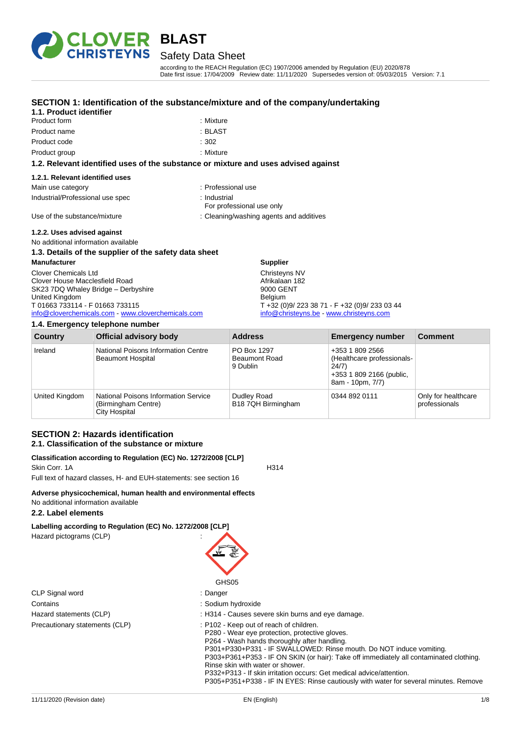

# Safety Data Sheet

according to the REACH Regulation (EC) 1907/2006 amended by Regulation (EU) 2020/878 Date first issue: 17/04/2009 Review date: 11/11/2020 Supersedes version of: 05/03/2015 Version: 7.1

# **SECTION 1: Identification of the substance/mixture and of the company/undertaking**

| 1.1. Product identifier          |                                                                                    |
|----------------------------------|------------------------------------------------------------------------------------|
| Product form                     | : Mixture                                                                          |
| Product name                     | : BLAST                                                                            |
| Product code                     | :302                                                                               |
| Product group                    | : Mixture                                                                          |
|                                  | 1.2. Relevant identified uses of the substance or mixture and uses advised against |
| 1.2.1. Relevant identified uses  |                                                                                    |
| Main use category                | : Professional use                                                                 |
| Industrial/Professional use spec | : Industrial<br>For professional use only                                          |
| Use of the substance/mixture     | : Cleaning/washing agents and additives                                            |

#### **1.2.2. Uses advised against**

No additional information available

#### **1.3. Details of the supplier of the safety data sheet Manufacturer** Clover Chemicals Ltd Clover House Macclesfield Road SK23 7DQ Whaley Bridge – Derbyshire United Kingdom T 01663 733114 - F 01663 733115 [info@cloverchemicals.com](mailto:info@cloverchemicals.com) - [www.cloverchemicals.com](http://www.cloverchemicals.com/) **Supplier** Christeyns NV Afrikalaan 182 9000 GENT Belgium T +32 (0)9/ 223 38 71 - F +32 (0)9/ 233 03 44 [info@christeyns.be](mailto:info@christeyns.be) - [www.christeyns.com](http://www.christeyns.com/)

#### **1.4. Emergency telephone number**

| Country        | <b>Official advisory body</b>                                                | <b>Address</b>                                  | <b>Emergency number</b>                                                                                | <b>Comment</b>                       |
|----------------|------------------------------------------------------------------------------|-------------------------------------------------|--------------------------------------------------------------------------------------------------------|--------------------------------------|
| Ireland        | National Poisons Information Centre<br><b>Beaumont Hospital</b>              | PO Box 1297<br><b>Beaumont Road</b><br>9 Dublin | +353 1 809 2566<br>(Healthcare professionals-<br>24/7)<br>+353 1 809 2166 (public,<br>8am - 10pm, 7/7) |                                      |
| United Kingdom | National Poisons Information Service<br>(Birmingham Centre)<br>City Hospital | Dudley Road<br>B18 7QH Birmingham               | 0344 892 0111                                                                                          | Only for healthcare<br>professionals |

# **SECTION 2: Hazards identification 2.1. Classification of the substance or mixture**

#### **Classification according to Regulation (EC) No. 1272/2008 [CLP]** Skin Corr. 1A H314

Full text of hazard classes, H- and EUH-statements: see section 16

# **Adverse physicochemical, human health and environmental effects**

# No additional information available

# **2.2. Label elements**

# **Labelling according to Regulation (EC) No. 1272/2008 [CLP]**

Hazard pictograms (CLP) :

# GHS05 : Danger

- : Sodium hydroxide
- : H314 Causes severe skin burns and eye damage.
- : P102 Keep out of reach of children.
- P280 Wear eye protection, protective gloves.
- P264 Wash hands thoroughly after handling.
- P301+P330+P331 IF SWALLOWED: Rinse mouth. Do NOT induce vomiting.
- P303+P361+P353 IF ON SKIN (or hair): Take off immediately all contaminated clothing. Rinse skin with water or shower.
- P332+P313 If skin irritation occurs: Get medical advice/attention.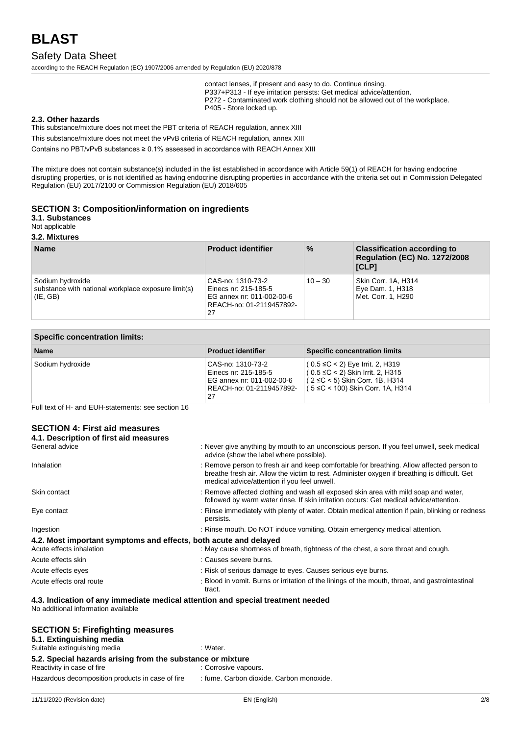# Safety Data Sheet

according to the REACH Regulation (EC) 1907/2006 amended by Regulation (EU) 2020/878

contact lenses, if present and easy to do. Continue rinsing. P337+P313 - If eye irritation persists: Get medical advice/attention. P272 - Contaminated work clothing should not be allowed out of the workplace. P405 - Store locked up.

#### **2.3. Other hazards**

This substance/mixture does not meet the PBT criteria of REACH regulation, annex XIII

This substance/mixture does not meet the vPvB criteria of REACH regulation, annex XIII

Contains no PBT/vPvB substances ≥ 0.1% assessed in accordance with REACH Annex XIII

The mixture does not contain substance(s) included in the list established in accordance with Article 59(1) of REACH for having endocrine disrupting properties, or is not identified as having endocrine disrupting properties in accordance with the criteria set out in Commission Delegated Regulation (EU) 2017/2100 or Commission Regulation (EU) 2018/605

#### **SECTION 3: Composition/information on ingredients**

**3.1. Substances**

Not applicable

**3.2. Mixtures**

| <b>Name</b>                                                                         | <b>Product identifier</b>                                                                                | $\frac{9}{6}$ | <b>Classification according to</b><br><b>Regulation (EC) No. 1272/2008</b><br>[CLP] |
|-------------------------------------------------------------------------------------|----------------------------------------------------------------------------------------------------------|---------------|-------------------------------------------------------------------------------------|
| Sodium hydroxide<br>substance with national workplace exposure limit(s)<br>(IE, GB) | CAS-no: 1310-73-2<br>Einecs nr: 215-185-5<br>EG annex nr: 011-002-00-6<br>REACH-no: 01-2119457892-<br>27 | $10 - 30$     | Skin Corr. 1A, H314<br>Eye Dam. 1, H318<br>Met. Corr. 1, H290                       |

| <b>Specific concentration limits:</b> |                                                                                                          |                                                                                                                                                             |  |
|---------------------------------------|----------------------------------------------------------------------------------------------------------|-------------------------------------------------------------------------------------------------------------------------------------------------------------|--|
| <b>Name</b>                           | <b>Product identifier</b>                                                                                | <b>Specific concentration limits</b>                                                                                                                        |  |
| Sodium hydroxide                      | CAS-no: 1310-73-2<br>Einecs nr: 215-185-5<br>EG annex nr: 011-002-00-6<br>REACH-no: 01-2119457892-<br>27 | $(0.5 \leq C < 2)$ Eye Irrit. 2, H319<br>$(0.5 ≤ C < 2)$ Skin Irrit. 2, H315<br>$(2 ≤ C < 5)$ Skin Corr. 1B, H314<br>$(5 \leq C < 100)$ Skin Corr. 1A, H314 |  |

Full text of H- and EUH-statements: see section 16

#### **SECTION 4: First aid measures 4.1. Description of first aid measures**

| General advice                                                                  | : Never give anything by mouth to an unconscious person. If you feel unwell, seek medical<br>advice (show the label where possible).                                                                                                       |
|---------------------------------------------------------------------------------|--------------------------------------------------------------------------------------------------------------------------------------------------------------------------------------------------------------------------------------------|
| Inhalation                                                                      | : Remove person to fresh air and keep comfortable for breathing. Allow affected person to<br>breathe fresh air. Allow the victim to rest. Administer oxygen if breathing is difficult. Get<br>medical advice/attention if you feel unwell. |
| Skin contact                                                                    | : Remove affected clothing and wash all exposed skin area with mild soap and water,<br>followed by warm water rinse. If skin irritation occurs: Get medical advice/attention.                                                              |
| Eye contact                                                                     | : Rinse immediately with plenty of water. Obtain medical attention if pain, blinking or redness<br>persists.                                                                                                                               |
| Ingestion                                                                       | : Rinse mouth. Do NOT induce vomiting. Obtain emergency medical attention.                                                                                                                                                                 |
| 4.2. Most important symptoms and effects, both acute and delayed                |                                                                                                                                                                                                                                            |
| Acute effects inhalation                                                        | : May cause shortness of breath, tightness of the chest, a sore throat and cough.                                                                                                                                                          |
| Acute effects skin                                                              | : Causes severe burns.                                                                                                                                                                                                                     |
| Acute effects eyes                                                              | : Risk of serious damage to eyes. Causes serious eye burns.                                                                                                                                                                                |
| Acute effects oral route                                                        | : Blood in vomit. Burns or irritation of the linings of the mouth, throat, and gastrointestinal<br>tract.                                                                                                                                  |
| 4.3. Indication of any immediate medical attention and special treatment needed |                                                                                                                                                                                                                                            |

No additional information available

| <b>SECTION 5: Firefighting measures</b><br>5.1. Extinguishing media |                                          |
|---------------------------------------------------------------------|------------------------------------------|
| Suitable extinguishing media                                        | : Water.                                 |
| 5.2. Special hazards arising from the substance or mixture          |                                          |
| Reactivity in case of fire                                          | : Corrosive vapours.                     |
| Hazardous decomposition products in case of fire                    | : fume. Carbon dioxide. Carbon monoxide. |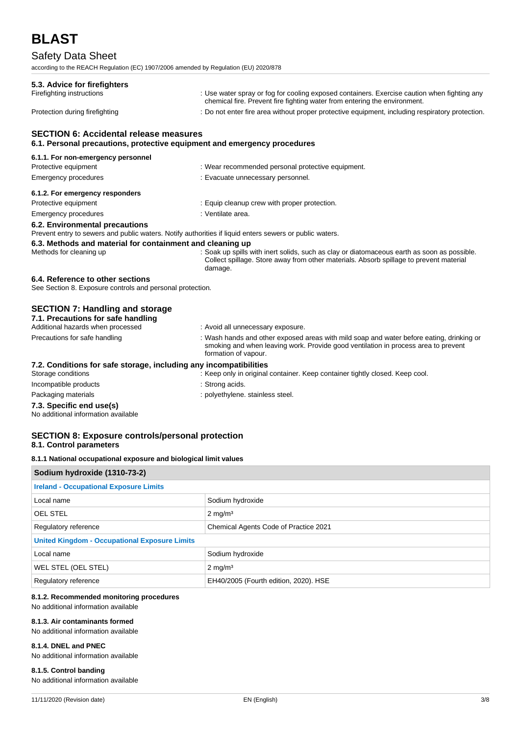# Safety Data Sheet

according to the REACH Regulation (EC) 1907/2006 amended by Regulation (EU) 2020/878

| 5.3. Advice for firefighters                                                                                              |                                                                                                                                                                                                        |
|---------------------------------------------------------------------------------------------------------------------------|--------------------------------------------------------------------------------------------------------------------------------------------------------------------------------------------------------|
| Firefighting instructions                                                                                                 | : Use water spray or fog for cooling exposed containers. Exercise caution when fighting any<br>chemical fire. Prevent fire fighting water from entering the environment.                               |
| Protection during firefighting                                                                                            | : Do not enter fire area without proper protective equipment, including respiratory protection.                                                                                                        |
| <b>SECTION 6: Accidental release measures</b><br>6.1. Personal precautions, protective equipment and emergency procedures |                                                                                                                                                                                                        |
| 6.1.1. For non-emergency personnel                                                                                        |                                                                                                                                                                                                        |
| Protective equipment                                                                                                      | : Wear recommended personal protective equipment.                                                                                                                                                      |
| <b>Emergency procedures</b>                                                                                               | : Evacuate unnecessary personnel.                                                                                                                                                                      |
| 6.1.2. For emergency responders                                                                                           |                                                                                                                                                                                                        |
| Protective equipment                                                                                                      | : Equip cleanup crew with proper protection.                                                                                                                                                           |
| <b>Emergency procedures</b>                                                                                               | : Ventilate area.                                                                                                                                                                                      |
| 6.2. Environmental precautions                                                                                            | Prevent entry to sewers and public waters. Notify authorities if liquid enters sewers or public waters.                                                                                                |
| 6.3. Methods and material for containment and cleaning up                                                                 |                                                                                                                                                                                                        |
| Methods for cleaning up                                                                                                   | : Soak up spills with inert solids, such as clay or diatomaceous earth as soon as possible.<br>Collect spillage. Store away from other materials. Absorb spillage to prevent material<br>damage.       |
| 6.4. Reference to other sections<br>See Section 8. Exposure controls and personal protection.                             |                                                                                                                                                                                                        |
| <b>SECTION 7: Handling and storage</b>                                                                                    |                                                                                                                                                                                                        |
| 7.1. Precautions for safe handling<br>Additional hazards when processed                                                   |                                                                                                                                                                                                        |
|                                                                                                                           | : Avoid all unnecessary exposure.                                                                                                                                                                      |
| Precautions for safe handling                                                                                             | : Wash hands and other exposed areas with mild soap and water before eating, drinking or<br>smoking and when leaving work. Provide good ventilation in process area to prevent<br>formation of vapour. |
| 7.2. Conditions for safe storage, including any incompatibilities                                                         |                                                                                                                                                                                                        |
| Storage conditions                                                                                                        | : Keep only in original container. Keep container tightly closed. Keep cool.                                                                                                                           |
| Incompatible products                                                                                                     | : Strong acids.                                                                                                                                                                                        |
| Packaging materials                                                                                                       | : polyethylene. stainless steel.                                                                                                                                                                       |
| 7.3. Specific end use(s)<br>No additional information available                                                           |                                                                                                                                                                                                        |
| <b>SECTION 8: Exposure controls/personal protection</b>                                                                   |                                                                                                                                                                                                        |

# **8.1. Control parameters**

**8.1.1 National occupational exposure and biological limit values**

| Sodium hydroxide (1310-73-2)                                  |                                       |  |
|---------------------------------------------------------------|---------------------------------------|--|
| <b>Ireland - Occupational Exposure Limits</b>                 |                                       |  |
| Local name                                                    | Sodium hydroxide                      |  |
| <b>OEL STEL</b>                                               | $2 \text{ mg/m}^3$                    |  |
| Regulatory reference<br>Chemical Agents Code of Practice 2021 |                                       |  |
| <b>United Kingdom - Occupational Exposure Limits</b>          |                                       |  |
| Local name                                                    | Sodium hydroxide                      |  |
| WEL STEL (OEL STEL)                                           | $2 \text{ mg/m}^3$                    |  |
| Regulatory reference                                          | EH40/2005 (Fourth edition, 2020). HSE |  |

# **8.1.2. Recommended monitoring procedures**

### No additional information available

#### **8.1.3. Air contaminants formed**

No additional information available

#### **8.1.4. DNEL and PNEC**

No additional information available

# **8.1.5. Control banding**

No additional information available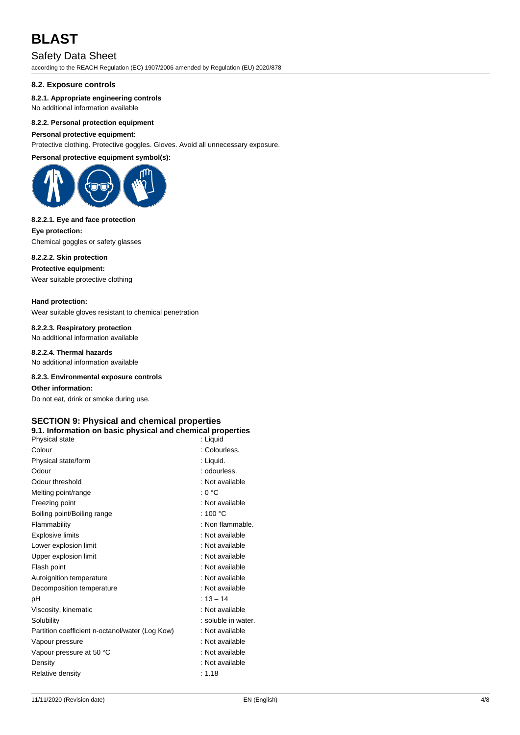# Safety Data Sheet

according to the REACH Regulation (EC) 1907/2006 amended by Regulation (EU) 2020/878

#### **8.2. Exposure controls**

#### **8.2.1. Appropriate engineering controls**

No additional information available

#### **8.2.2. Personal protection equipment**

#### **Personal protective equipment:**

Protective clothing. Protective goggles. Gloves. Avoid all unnecessary exposure.

**Personal protective equipment symbol(s):**



#### **8.2.2.1. Eye and face protection**

**Eye protection:** Chemical goggles or safety glasses

# **8.2.2.2. Skin protection**

**Protective equipment:**

Wear suitable protective clothing

#### **Hand protection:**

Wear suitable gloves resistant to chemical penetration

### **8.2.2.3. Respiratory protection**

No additional information available

# **8.2.2.4. Thermal hazards**

No additional information available

#### **8.2.3. Environmental exposure controls**

**Other information:**

Do not eat, drink or smoke during use.

# **SECTION 9: Physical and chemical properties**

# **9.1. Information on basic physical and chemical properties**

| Physical state                                  | : Liquid            |
|-------------------------------------------------|---------------------|
| Colour                                          | : Colourless.       |
| Physical state/form                             | : Liquid.           |
| Odour                                           | : odourless.        |
| Odour threshold                                 | : Not available     |
| Melting point/range                             | : 0 °C              |
| Freezing point                                  | : Not available     |
| Boiling point/Boiling range                     | : 100 $^{\circ}$ C  |
| Flammability                                    | : Non flammable.    |
| <b>Explosive limits</b>                         | : Not available     |
| Lower explosion limit                           | : Not available     |
| Upper explosion limit                           | : Not available     |
| Flash point                                     | : Not available     |
| Autoignition temperature                        | : Not available     |
| Decomposition temperature                       | : Not available     |
| рH                                              | $: 13 - 14$         |
| Viscosity, kinematic                            | : Not available     |
| Solubility                                      | : soluble in water. |
| Partition coefficient n-octanol/water (Log Kow) | : Not available     |
| Vapour pressure                                 | : Not available     |
| Vapour pressure at 50 °C                        | : Not available     |
| Density                                         | : Not available     |
| Relative density                                | : 1.18              |
|                                                 |                     |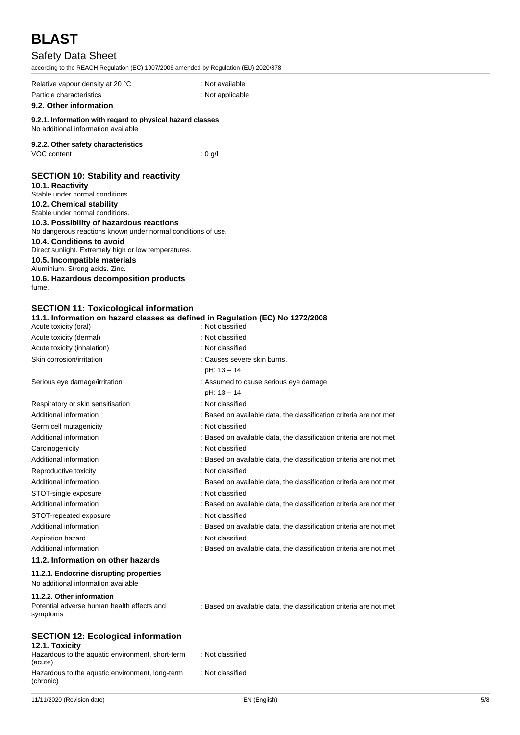# Safety Data Sheet

according to the REACH Regulation (EC) 1907/2006 amended by Regulation (EU) 2020/878

| Relative vapour density at 20 °C | : Not available  |
|----------------------------------|------------------|
| Particle characteristics         | : Not applicable |

### **9.2. Other information**

**9.2.1. Information with regard to physical hazard classes** No additional information available

### **9.2.2. Other safety characteristics**

VOC content : 0 g/l

# **SECTION 10: Stability and reactivity**

**10.1. Reactivity** Stable under normal conditions.

# **10.2. Chemical stability**

Stable under normal conditions.

# **10.3. Possibility of hazardous reactions**

No dangerous reactions known under normal conditions of use.

# **10.4. Conditions to avoid**

Direct sunlight. Extremely high or low temperatures.

#### **10.5. Incompatible materials**

Aluminium. Strong acids. Zinc.

**10.6. Hazardous decomposition products** fume.

### **SECTION 11: Toxicological information**

### **11.1. Information on hazard classes as defined in Regulation (EC) No 1272/2008**

| Acute toxicity (oral)                   | : Not classified                                                   |
|-----------------------------------------|--------------------------------------------------------------------|
| Acute toxicity (dermal)                 | : Not classified                                                   |
| Acute toxicity (inhalation)             | : Not classified                                                   |
| Skin corrosion/irritation               | : Causes severe skin burns.                                        |
|                                         | $pH: 13 - 14$                                                      |
| Serious eye damage/irritation           | : Assumed to cause serious eye damage                              |
|                                         | pH: 13 - 14                                                        |
| Respiratory or skin sensitisation       | : Not classified                                                   |
| Additional information                  | : Based on available data, the classification criteria are not met |
| Germ cell mutagenicity                  | : Not classified                                                   |
| Additional information                  | : Based on available data, the classification criteria are not met |
| Carcinogenicity                         | : Not classified                                                   |
| Additional information                  | : Based on available data, the classification criteria are not met |
| Reproductive toxicity                   | : Not classified                                                   |
| Additional information                  | : Based on available data, the classification criteria are not met |
| STOT-single exposure                    | : Not classified                                                   |
| Additional information                  | : Based on available data, the classification criteria are not met |
| STOT-repeated exposure                  | : Not classified                                                   |
| Additional information                  | : Based on available data, the classification criteria are not met |
| Aspiration hazard                       | : Not classified                                                   |
| Additional information                  | : Based on available data, the classification criteria are not met |
| 11.2. Information on other hazards      |                                                                    |
| 11.2.1. Endocrine disrupting properties |                                                                    |
| No additional information available     |                                                                    |

### **11.2.2. Other information**

Potential adverse human health effects and symptoms

: Based on available data, the classification criteria are not met

# **SECTION 12: Ecological information**

| 12.1. Toxicity |  |  |
|----------------|--|--|
|                |  |  |

| . <b>.</b>                                       |                  |
|--------------------------------------------------|------------------|
| Hazardous to the aquatic environment, short-term | : Not classified |
| (acute)                                          |                  |
| Hazardous to the aquatic environment, long-term  | : Not classified |
| (chronic)                                        |                  |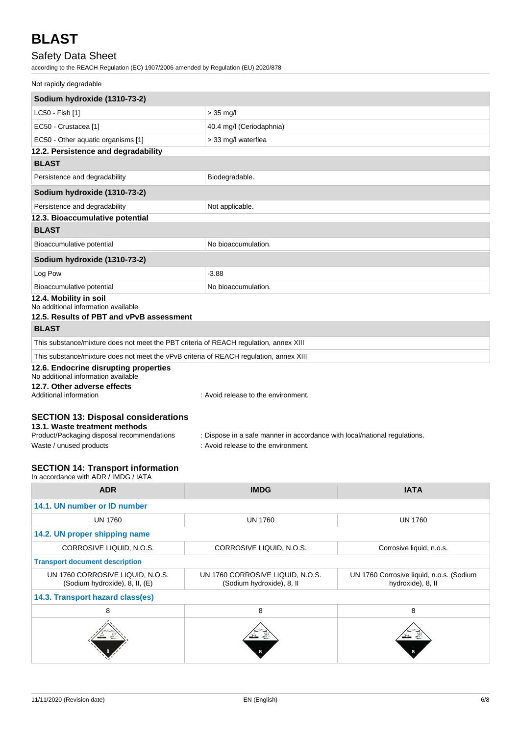# Safety Data Sheet

according to the REACH Regulation (EC) 1907/2006 amended by Regulation (EU) 2020/878

# Not rapidly degradable

| Sodium hydroxide (1310-73-2)                                                           |                                                                           |  |
|----------------------------------------------------------------------------------------|---------------------------------------------------------------------------|--|
| LC50 - Fish [1]                                                                        | $> 35$ mg/l                                                               |  |
| EC50 - Crustacea [1]                                                                   | 40.4 mg/l (Ceriodaphnia)                                                  |  |
| EC50 - Other aquatic organisms [1]                                                     | > 33 mg/l waterflea                                                       |  |
| 12.2. Persistence and degradability                                                    |                                                                           |  |
| <b>BLAST</b>                                                                           |                                                                           |  |
| Persistence and degradability                                                          | Biodegradable.                                                            |  |
| Sodium hydroxide (1310-73-2)                                                           |                                                                           |  |
| Persistence and degradability                                                          | Not applicable.                                                           |  |
| 12.3. Bioaccumulative potential                                                        |                                                                           |  |
| <b>BLAST</b>                                                                           |                                                                           |  |
| Bioaccumulative potential                                                              | No bioaccumulation.                                                       |  |
| Sodium hydroxide (1310-73-2)                                                           |                                                                           |  |
| Log Pow                                                                                | $-3.88$                                                                   |  |
| Bioaccumulative potential                                                              | No bioaccumulation.                                                       |  |
| 12.4. Mobility in soil<br>No additional information available                          |                                                                           |  |
| 12.5. Results of PBT and vPvB assessment                                               |                                                                           |  |
| <b>BLAST</b>                                                                           |                                                                           |  |
| This substance/mixture does not meet the PBT criteria of REACH regulation, annex XIII  |                                                                           |  |
| This substance/mixture does not meet the vPvB criteria of REACH regulation, annex XIII |                                                                           |  |
| 12.6. Endocrine disrupting properties                                                  |                                                                           |  |
| No additional information available                                                    |                                                                           |  |
| 12.7. Other adverse effects<br>Additional information                                  | : Avoid release to the environment.                                       |  |
|                                                                                        |                                                                           |  |
| <b>SECTION 13: Disposal considerations</b>                                             |                                                                           |  |
| 13.1. Waste treatment methods                                                          |                                                                           |  |
| Product/Packaging disposal recommendations                                             | : Dispose in a safe manner in accordance with local/national regulations. |  |

Waste / unused products in the environment.

# **SECTION 14: Transport information**

In accordance with ADR / IMDG / IATA

| <b>ADR</b>                                                         | <b>IMDG</b>                                                   | <b>IATA</b>                                                   |  |
|--------------------------------------------------------------------|---------------------------------------------------------------|---------------------------------------------------------------|--|
| 14.1. UN number or ID number                                       |                                                               |                                                               |  |
| <b>UN 1760</b>                                                     | <b>UN 1760</b>                                                | <b>UN 1760</b>                                                |  |
| 14.2. UN proper shipping name                                      |                                                               |                                                               |  |
| CORROSIVE LIQUID, N.O.S.                                           | CORROSIVE LIQUID, N.O.S.                                      | Corrosive liquid, n.o.s.                                      |  |
| <b>Transport document description</b>                              |                                                               |                                                               |  |
| UN 1760 CORROSIVE LIQUID, N.O.S.<br>(Sodium hydroxide), 8, II, (E) | UN 1760 CORROSIVE LIQUID, N.O.S.<br>(Sodium hydroxide), 8, II | UN 1760 Corrosive liquid, n.o.s. (Sodium<br>hydroxide), 8, II |  |
| 14.3. Transport hazard class(es)                                   |                                                               |                                                               |  |
| 8                                                                  | 8                                                             | 8                                                             |  |
|                                                                    |                                                               |                                                               |  |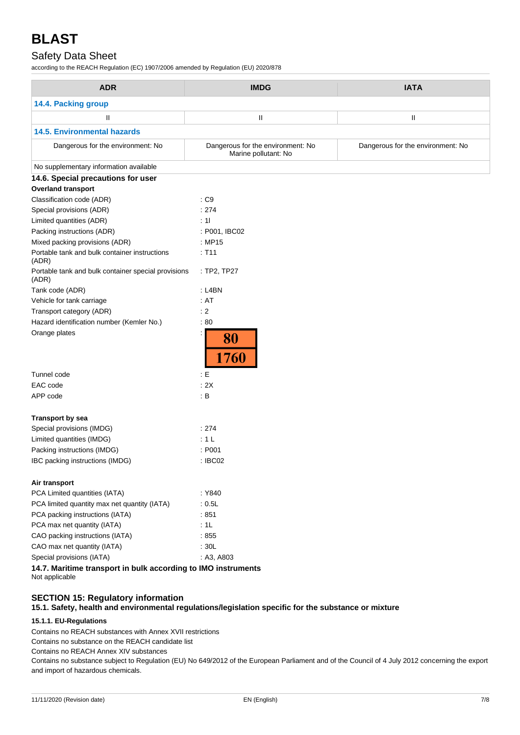# Safety Data Sheet

according to the REACH Regulation (EC) 1907/2006 amended by Regulation (EU) 2020/878

| <b>ADR</b>                                                    | <b>IMDG</b>                                               | <b>IATA</b>                       |
|---------------------------------------------------------------|-----------------------------------------------------------|-----------------------------------|
| 14.4. Packing group                                           |                                                           |                                   |
| Ш                                                             | $\mathbf{II}$                                             | Ш                                 |
| <b>14.5. Environmental hazards</b>                            |                                                           |                                   |
| Dangerous for the environment: No                             | Dangerous for the environment: No<br>Marine pollutant: No | Dangerous for the environment: No |
| No supplementary information available                        |                                                           |                                   |
| 14.6. Special precautions for user                            |                                                           |                                   |
| <b>Overland transport</b>                                     |                                                           |                                   |
| Classification code (ADR)                                     | : C9                                                      |                                   |
| Special provisions (ADR)                                      | : 274                                                     |                                   |
| Limited quantities (ADR)                                      | : 11                                                      |                                   |
| Packing instructions (ADR)                                    | : P001, IBC02                                             |                                   |
| Mixed packing provisions (ADR)                                | : MP15                                                    |                                   |
| Portable tank and bulk container instructions<br>(ADR)        | : T11                                                     |                                   |
| Portable tank and bulk container special provisions<br>(ADR)  | : TP2, TP27                                               |                                   |
| Tank code (ADR)                                               | : L4BN                                                    |                                   |
| Vehicle for tank carriage                                     | : AT                                                      |                                   |
| Transport category (ADR)                                      | : 2                                                       |                                   |
| Hazard identification number (Kemler No.)                     | :80                                                       |                                   |
| Orange plates                                                 | 80<br>1760                                                |                                   |
| Tunnel code                                                   | $\div E$                                                  |                                   |
| EAC code                                                      | : 2X                                                      |                                   |
| APP code                                                      | : B                                                       |                                   |
| <b>Transport by sea</b>                                       |                                                           |                                   |
| Special provisions (IMDG)                                     | : 274                                                     |                                   |
| Limited quantities (IMDG)                                     | : 1L                                                      |                                   |
| Packing instructions (IMDG)                                   | : P001                                                    |                                   |
| IBC packing instructions (IMDG)                               | : IBC02                                                   |                                   |
| Air transport                                                 |                                                           |                                   |
| PCA Limited quantities (IATA)                                 | : Y840                                                    |                                   |
| PCA limited quantity max net quantity (IATA)                  | : 0.5L                                                    |                                   |
| PCA packing instructions (IATA)                               | :851                                                      |                                   |
| PCA max net quantity (IATA)                                   | :1L                                                       |                                   |
| CAO packing instructions (IATA)                               | :855                                                      |                                   |
| CAO max net quantity (IATA)                                   | : 30L                                                     |                                   |
| Special provisions (IATA)                                     | : A3, A803                                                |                                   |
| 14.7. Maritime transport in bulk according to IMO instruments |                                                           |                                   |

Not applicable

# **SECTION 15: Regulatory information**

**15.1. Safety, health and environmental regulations/legislation specific for the substance or mixture**

# **15.1.1. EU-Regulations**

Contains no REACH substances with Annex XVII restrictions

Contains no substance on the REACH candidate list

Contains no REACH Annex XIV substances

Contains no substance subject to Regulation (EU) No 649/2012 of the European Parliament and of the Council of 4 July 2012 concerning the export and import of hazardous chemicals.